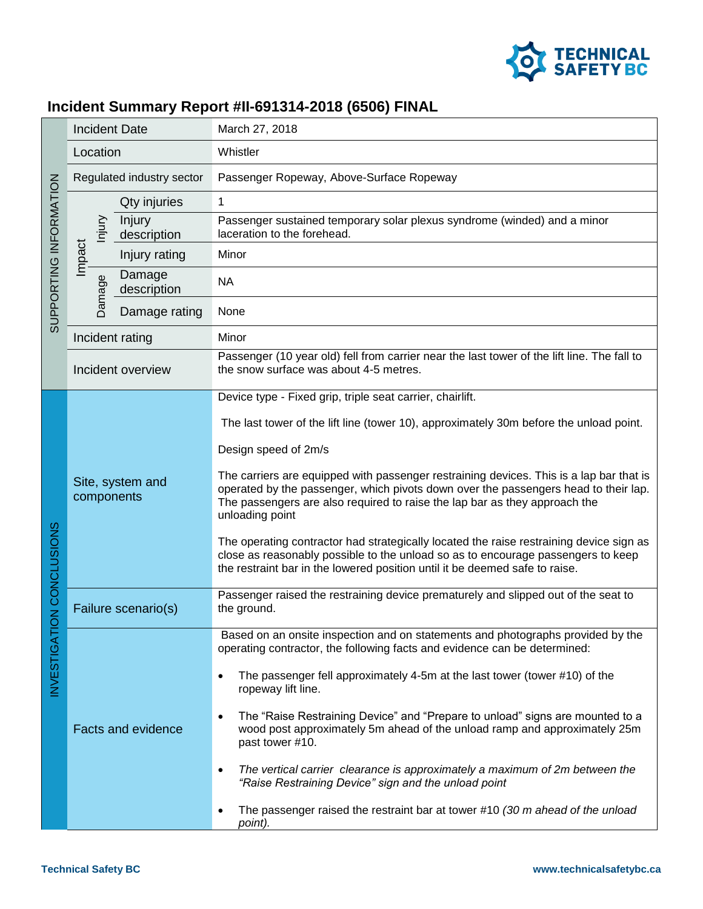

## **Incident Summary Report #II-691314-2018 (6506) FINAL**

| SUPPORTING INFORMATION               | <b>Incident Date</b>           |                       | March 27, 2018                                                                                                                                                                                                                                                                  |
|--------------------------------------|--------------------------------|-----------------------|---------------------------------------------------------------------------------------------------------------------------------------------------------------------------------------------------------------------------------------------------------------------------------|
|                                      | Location                       |                       | Whistler                                                                                                                                                                                                                                                                        |
|                                      | Regulated industry sector      |                       | Passenger Ropeway, Above-Surface Ropeway                                                                                                                                                                                                                                        |
|                                      | lnjury<br>Impact<br>Damage     | Qty injuries          | 1                                                                                                                                                                                                                                                                               |
|                                      |                                | Injury<br>description | Passenger sustained temporary solar plexus syndrome (winded) and a minor<br>laceration to the forehead.                                                                                                                                                                         |
|                                      |                                | Injury rating         | Minor                                                                                                                                                                                                                                                                           |
|                                      |                                | Damage<br>description | <b>NA</b>                                                                                                                                                                                                                                                                       |
|                                      |                                | Damage rating         | None                                                                                                                                                                                                                                                                            |
|                                      | Incident rating                |                       | Minor                                                                                                                                                                                                                                                                           |
|                                      | Incident overview              |                       | Passenger (10 year old) fell from carrier near the last tower of the lift line. The fall to<br>the snow surface was about 4-5 metres.                                                                                                                                           |
| ION CONCLUSIONS<br><b>INVESTIGAT</b> | Site, system and<br>components |                       | Device type - Fixed grip, triple seat carrier, chairlift.                                                                                                                                                                                                                       |
|                                      |                                |                       | The last tower of the lift line (tower 10), approximately 30m before the unload point.                                                                                                                                                                                          |
|                                      |                                |                       | Design speed of 2m/s                                                                                                                                                                                                                                                            |
|                                      |                                |                       | The carriers are equipped with passenger restraining devices. This is a lap bar that is<br>operated by the passenger, which pivots down over the passengers head to their lap.<br>The passengers are also required to raise the lap bar as they approach the<br>unloading point |
|                                      |                                |                       | The operating contractor had strategically located the raise restraining device sign as<br>close as reasonably possible to the unload so as to encourage passengers to keep<br>the restraint bar in the lowered position until it be deemed safe to raise.                      |
|                                      | Failure scenario(s)            |                       | Passenger raised the restraining device prematurely and slipped out of the seat to<br>the ground.                                                                                                                                                                               |
|                                      | <b>Facts and evidence</b>      |                       | Based on an onsite inspection and on statements and photographs provided by the<br>operating contractor, the following facts and evidence can be determined:                                                                                                                    |
|                                      |                                |                       | The passenger fell approximately 4-5m at the last tower (tower #10) of the<br>$\bullet$<br>ropeway lift line.                                                                                                                                                                   |
|                                      |                                |                       | The "Raise Restraining Device" and "Prepare to unload" signs are mounted to a<br>$\bullet$<br>wood post approximately 5m ahead of the unload ramp and approximately 25m<br>past tower #10.                                                                                      |
|                                      |                                |                       | The vertical carrier clearance is approximately a maximum of 2m between the<br>$\bullet$<br>"Raise Restraining Device" sign and the unload point                                                                                                                                |
|                                      |                                |                       | The passenger raised the restraint bar at tower #10 $(30 \text{ m}$ ahead of the unload<br>$\bullet$<br>point).                                                                                                                                                                 |